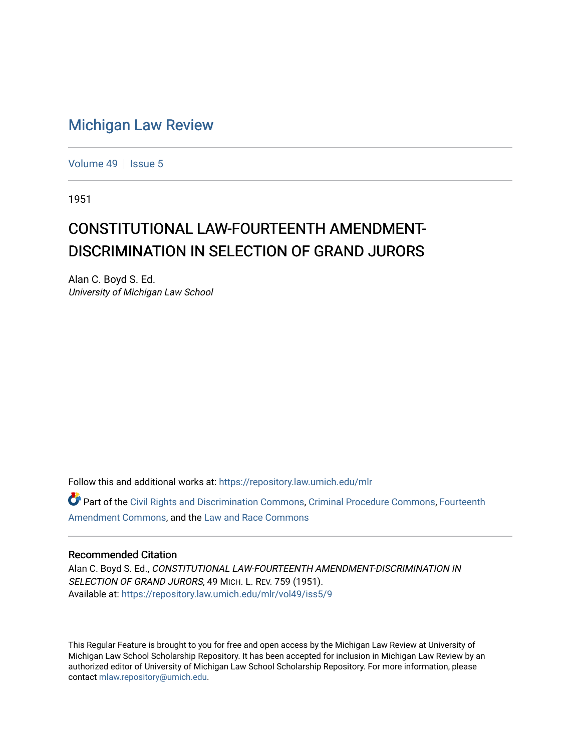## [Michigan Law Review](https://repository.law.umich.edu/mlr)

[Volume 49](https://repository.law.umich.edu/mlr/vol49) | [Issue 5](https://repository.law.umich.edu/mlr/vol49/iss5)

1951

## CONSTITUTIONAL LAW-FOURTEENTH AMENDMENT-DISCRIMINATION IN SELECTION OF GRAND JURORS

Alan C. Boyd S. Ed. University of Michigan Law School

Follow this and additional works at: [https://repository.law.umich.edu/mlr](https://repository.law.umich.edu/mlr?utm_source=repository.law.umich.edu%2Fmlr%2Fvol49%2Fiss5%2F9&utm_medium=PDF&utm_campaign=PDFCoverPages) 

Part of the [Civil Rights and Discrimination Commons,](http://network.bepress.com/hgg/discipline/585?utm_source=repository.law.umich.edu%2Fmlr%2Fvol49%2Fiss5%2F9&utm_medium=PDF&utm_campaign=PDFCoverPages) [Criminal Procedure Commons,](http://network.bepress.com/hgg/discipline/1073?utm_source=repository.law.umich.edu%2Fmlr%2Fvol49%2Fiss5%2F9&utm_medium=PDF&utm_campaign=PDFCoverPages) [Fourteenth](http://network.bepress.com/hgg/discipline/1116?utm_source=repository.law.umich.edu%2Fmlr%2Fvol49%2Fiss5%2F9&utm_medium=PDF&utm_campaign=PDFCoverPages)  [Amendment Commons](http://network.bepress.com/hgg/discipline/1116?utm_source=repository.law.umich.edu%2Fmlr%2Fvol49%2Fiss5%2F9&utm_medium=PDF&utm_campaign=PDFCoverPages), and the [Law and Race Commons](http://network.bepress.com/hgg/discipline/1300?utm_source=repository.law.umich.edu%2Fmlr%2Fvol49%2Fiss5%2F9&utm_medium=PDF&utm_campaign=PDFCoverPages) 

## Recommended Citation

Alan C. Boyd S. Ed., CONSTITUTIONAL LAW-FOURTEENTH AMENDMENT-DISCRIMINATION IN SELECTION OF GRAND JURORS, 49 MICH. L. REV. 759 (1951). Available at: [https://repository.law.umich.edu/mlr/vol49/iss5/9](https://repository.law.umich.edu/mlr/vol49/iss5/9?utm_source=repository.law.umich.edu%2Fmlr%2Fvol49%2Fiss5%2F9&utm_medium=PDF&utm_campaign=PDFCoverPages)

This Regular Feature is brought to you for free and open access by the Michigan Law Review at University of Michigan Law School Scholarship Repository. It has been accepted for inclusion in Michigan Law Review by an authorized editor of University of Michigan Law School Scholarship Repository. For more information, please contact [mlaw.repository@umich.edu](mailto:mlaw.repository@umich.edu).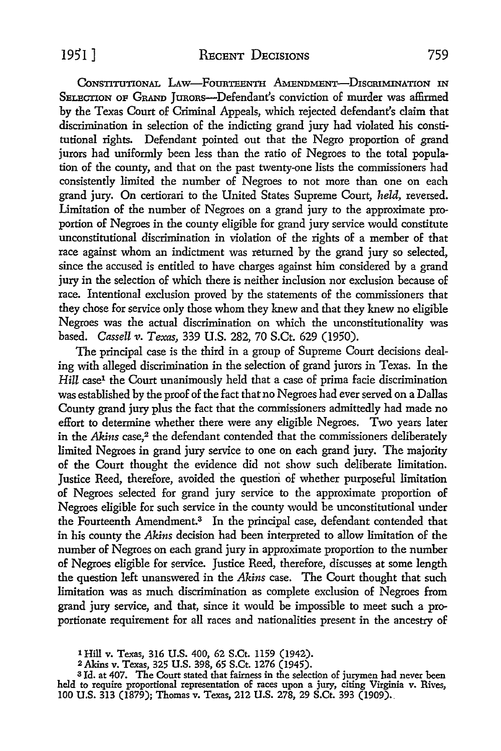CONSTITUTIONAL LAW-FOURTEENTH AMENDMENT-DISCRIMINATION IN SELECTION OF GRAND JURORS---Defendant's conviction of murder was affirmed by the Texas Court of Criminal Appeals, which rejected defendant's claim that discrimination in selection of the indicting grand jury had violated his constitutional rights. Defendant pointed out that the Negro proportion of grand jurors had uniformly been less than the ratio of Negroes to the total population of the county, and that on the past twenty-one lists the commissioners had consistently limited the number of Negroes to not more than one on each grand jury. On certiorari to the United States Supreme Court, *held,* reversed. Limitation of the number of Negroes on a grand jury to the approximate proportion of Negroes in the county eligible for grand jury service would constitute unconstitutional discrimination in violation of the rights of a member of that race against whom an indictment was returned by the grand jury so selected, since the accused is entitled to have charges against him considered by a grand jury in the selection of which there is neither inclusion nor exclusion because of race. Intentional exclusion proved by the statements of the commissioners that they chose for service only those whom they knew and that they knew no eligible Negroes was the actual discrimination on which the unconstitutionality was based. *Cassell v. Texas,* 339 U.S. 282, 70 S.Ct. 629 (1950).

The principal case is the third in a group of Supreme Court decisions dealing with alleged discrimination in the selection of grand jurors in Texas. In the Hill case<sup>1</sup> the Court unanimously held that a case of prima facie discrimination was established by the proof of the fact that no Negroes had ever served on a Dallas County grand jury plus the fact that the commissioners admittedly had made no effort to determine whether there were any eligible Negroes. Two years later in the *Akins* case,<sup>2</sup> the defendant contended that the commissioners deliberately limited Negroes in grand jury service to one on each grand jury. The majority of the Court thought the evidence did not show such deliberate limitation. Justice Reed, therefore, avoided the question of whether purposeful limitation of Negroes selected for grand jury service to the approximate proportion of Negroes eligible for such service in the county would be unconstitutional under the Fourteenth Amendment.<sup>3</sup> In the principal case, defendant contended that in his county the *Akins* decision had been interpreted to allow limitation of the number of Negroes on each grand jury in approximate proportion to the number of Negroes eligible for service. Justice Reed, therefore, discusses at some length the question left unanswered in the *Akins* case. The Court thought that such limitation was as much discrimination as complete exclusion of Negroes from grand jury service, and that, since it would be impossible to meet such a proportionate requirement for all races and nationalities present in the ancestry of

<sup>1</sup> Hill v. Texas, 316 U.S. 400, 62 S.Ct. 1159 (1942).

<sup>2</sup> Akins v. Texas, 325 U.S. 398, 65 S.Ct. 1276 (1945).

<sup>3</sup>Id. at 407. The Court stated that fairness in the selection of jurymen had never been held to require proportional representation of races upon a jury, citing Virginia v. Rives, 100 U.S. 313 (1879); Thomas v. Texas, 212 U.S. 278, 29 S.Ct. 393 (1909).